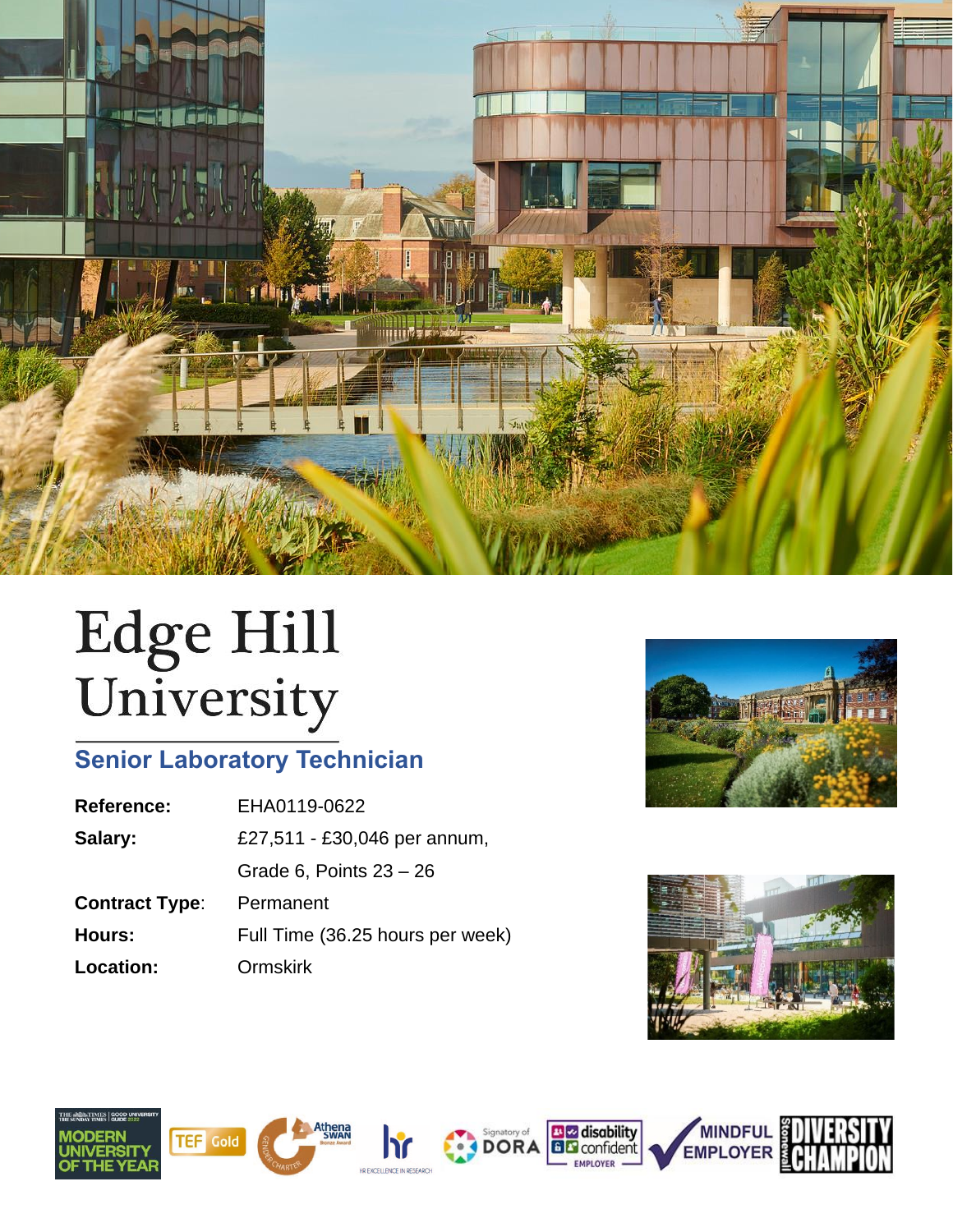

# Edge Hill<br>University

# **Senior Laboratory Technician**

| EHA0119-0622                     |
|----------------------------------|
| £27,511 - £30,046 per annum,     |
| Grade 6, Points $23 - 26$        |
| Permanent                        |
| Full Time (36.25 hours per week) |
| <b>Ormskirk</b>                  |
|                                  |















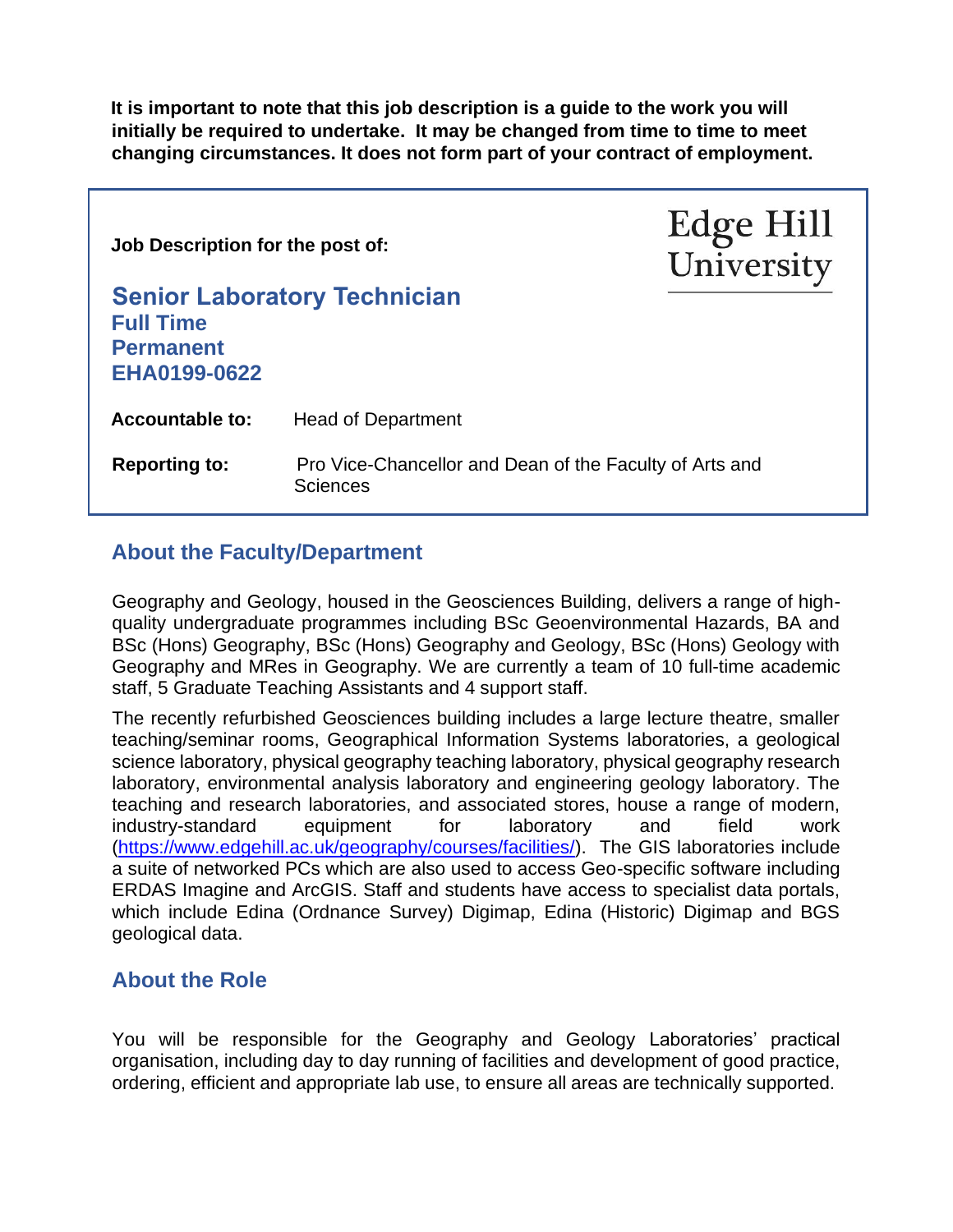**It is important to note that this job description is a guide to the work you will initially be required to undertake. It may be changed from time to time to meet changing circumstances. It does not form part of your contract of employment.** 

| Job Description for the post of:                                                                   |                                     | Edge Hill<br>University |
|----------------------------------------------------------------------------------------------------|-------------------------------------|-------------------------|
| <b>Full Time</b><br><b>Permanent</b><br>EHA0199-0622                                               | <b>Senior Laboratory Technician</b> |                         |
| <b>Accountable to:</b>                                                                             | <b>Head of Department</b>           |                         |
| <b>Reporting to:</b><br>Pro Vice-Chancellor and Dean of the Faculty of Arts and<br><b>Sciences</b> |                                     |                         |

### **About the Faculty/Department**

Geography and Geology, housed in the Geosciences Building, delivers a range of highquality undergraduate programmes including BSc Geoenvironmental Hazards, BA and BSc (Hons) Geography, BSc (Hons) Geography and Geology, BSc (Hons) Geology with Geography and MRes in Geography. We are currently a team of 10 full-time academic staff, 5 Graduate Teaching Assistants and 4 support staff.

The recently refurbished Geosciences building includes a large lecture theatre, smaller teaching/seminar rooms, Geographical Information Systems laboratories, a geological science laboratory, physical geography teaching laboratory, physical geography research laboratory, environmental analysis laboratory and engineering geology laboratory. The teaching and research laboratories, and associated stores, house a range of modern, industry-standard equipment for laboratory and field work [\(https://www.edgehill.ac.uk/geography/courses/facilities/\)](https://www.edgehill.ac.uk/geography/courses/facilities/). The GIS laboratories include a suite of networked PCs which are also used to access Geo-specific software including ERDAS Imagine and ArcGIS. Staff and students have access to specialist data portals, which include Edina (Ordnance Survey) Digimap, Edina (Historic) Digimap and BGS geological data.

#### **About the Role**

You will be responsible for the Geography and Geology Laboratories' practical organisation, including day to day running of facilities and development of good practice, ordering, efficient and appropriate lab use, to ensure all areas are technically supported.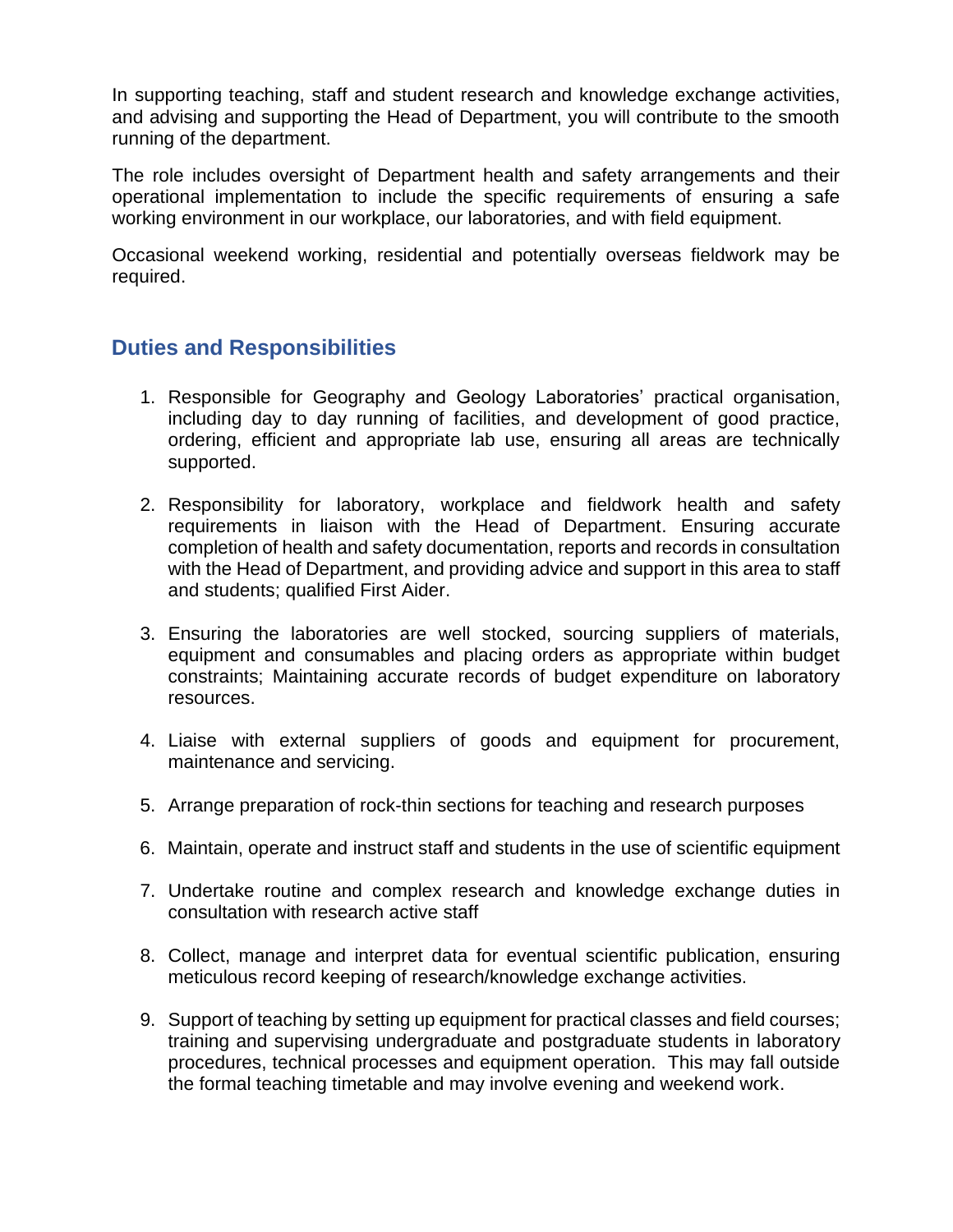In supporting teaching, staff and student research and knowledge exchange activities, and advising and supporting the Head of Department, you will contribute to the smooth running of the department.

The role includes oversight of Department health and safety arrangements and their operational implementation to include the specific requirements of ensuring a safe working environment in our workplace, our laboratories, and with field equipment.

Occasional weekend working, residential and potentially overseas fieldwork may be required.

### **Duties and Responsibilities**

- 1. Responsible for Geography and Geology Laboratories' practical organisation, including day to day running of facilities, and development of good practice, ordering, efficient and appropriate lab use, ensuring all areas are technically supported.
- 2. Responsibility for laboratory, workplace and fieldwork health and safety requirements in liaison with the Head of Department. Ensuring accurate completion of health and safety documentation, reports and records in consultation with the Head of Department, and providing advice and support in this area to staff and students; qualified First Aider.
- 3. Ensuring the laboratories are well stocked, sourcing suppliers of materials, equipment and consumables and placing orders as appropriate within budget constraints; Maintaining accurate records of budget expenditure on laboratory resources.
- 4. Liaise with external suppliers of goods and equipment for procurement, maintenance and servicing.
- 5. Arrange preparation of rock-thin sections for teaching and research purposes
- 6. Maintain, operate and instruct staff and students in the use of scientific equipment
- 7. Undertake routine and complex research and knowledge exchange duties in consultation with research active staff
- 8. Collect, manage and interpret data for eventual scientific publication, ensuring meticulous record keeping of research/knowledge exchange activities.
- 9. Support of teaching by setting up equipment for practical classes and field courses; training and supervising undergraduate and postgraduate students in laboratory procedures, technical processes and equipment operation. This may fall outside the formal teaching timetable and may involve evening and weekend work.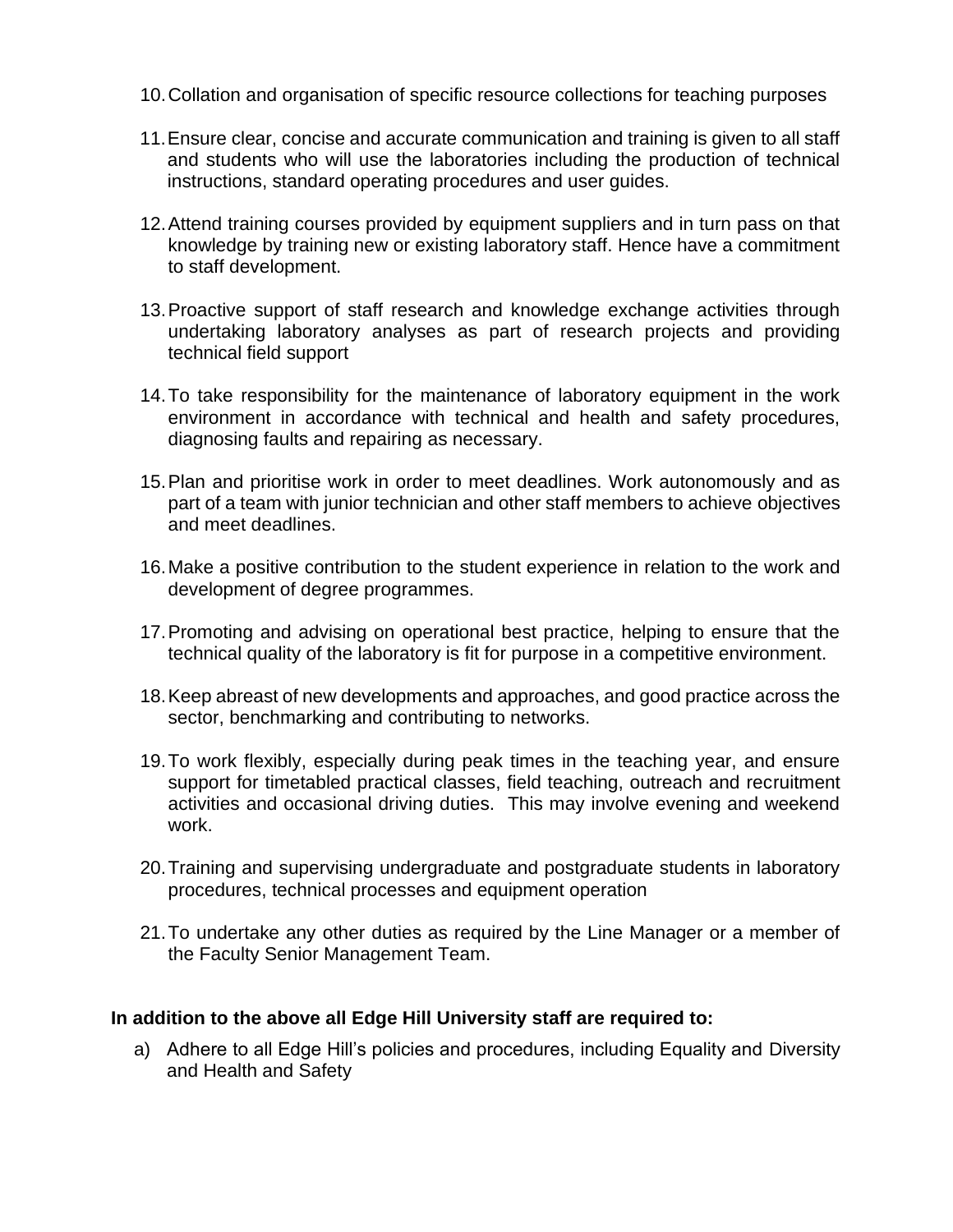- 10.Collation and organisation of specific resource collections for teaching purposes
- 11.Ensure clear, concise and accurate communication and training is given to all staff and students who will use the laboratories including the production of technical instructions, standard operating procedures and user guides.
- 12.Attend training courses provided by equipment suppliers and in turn pass on that knowledge by training new or existing laboratory staff. Hence have a commitment to staff development.
- 13.Proactive support of staff research and knowledge exchange activities through undertaking laboratory analyses as part of research projects and providing technical field support
- 14.To take responsibility for the maintenance of laboratory equipment in the work environment in accordance with technical and health and safety procedures, diagnosing faults and repairing as necessary.
- 15.Plan and prioritise work in order to meet deadlines. Work autonomously and as part of a team with junior technician and other staff members to achieve objectives and meet deadlines.
- 16.Make a positive contribution to the student experience in relation to the work and development of degree programmes.
- 17.Promoting and advising on operational best practice, helping to ensure that the technical quality of the laboratory is fit for purpose in a competitive environment.
- 18.Keep abreast of new developments and approaches, and good practice across the sector, benchmarking and contributing to networks.
- 19.To work flexibly, especially during peak times in the teaching year, and ensure support for timetabled practical classes, field teaching, outreach and recruitment activities and occasional driving duties. This may involve evening and weekend work.
- 20.Training and supervising undergraduate and postgraduate students in laboratory procedures, technical processes and equipment operation
- 21.To undertake any other duties as required by the Line Manager or a member of the Faculty Senior Management Team.

#### **In addition to the above all Edge Hill University staff are required to:**

a) Adhere to all Edge Hill's policies and procedures, including Equality and Diversity and Health and Safety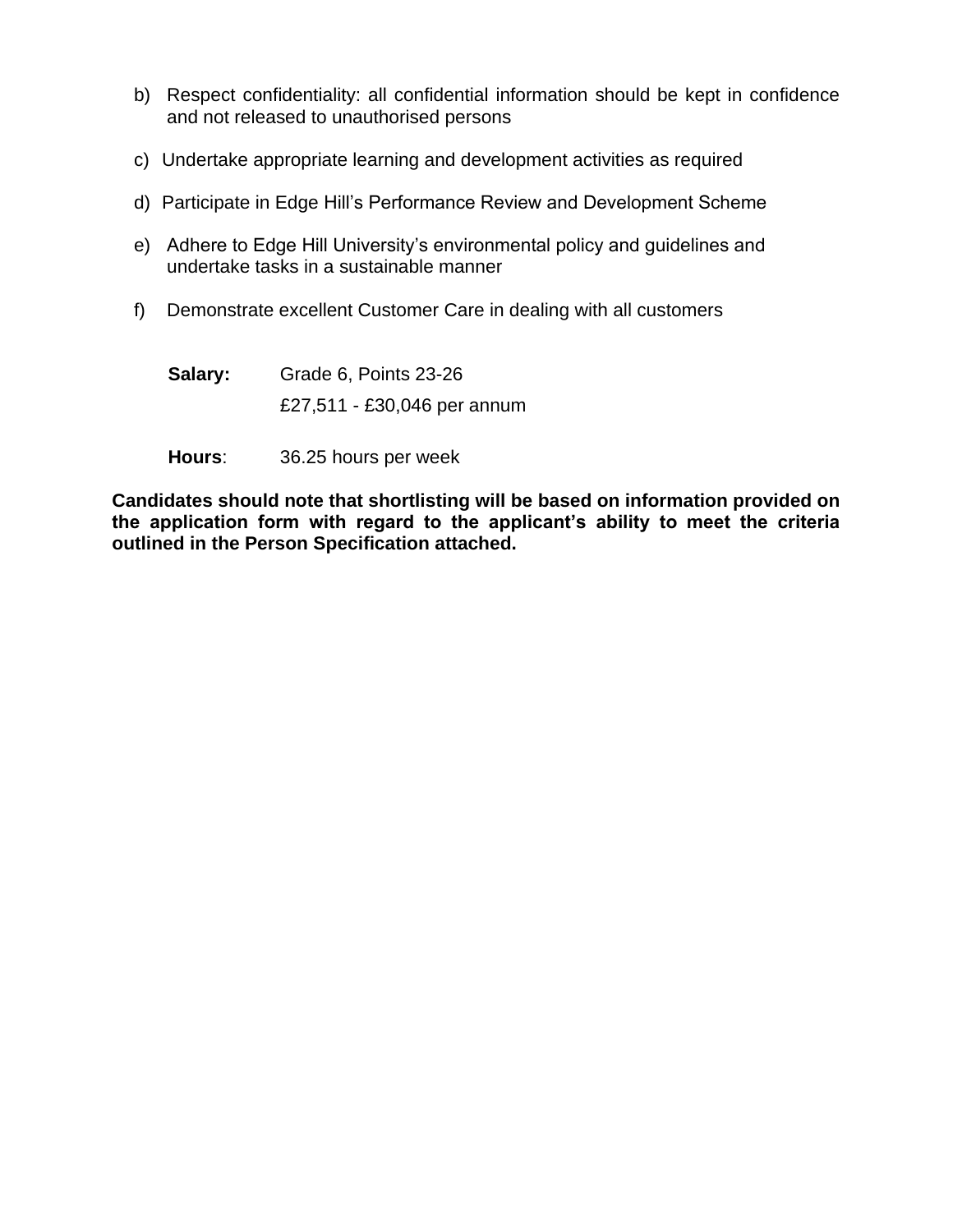- b) Respect confidentiality: all confidential information should be kept in confidence and not released to unauthorised persons
- c) Undertake appropriate learning and development activities as required
- d) Participate in Edge Hill's Performance Review and Development Scheme
- e) Adhere to Edge Hill University's environmental policy and guidelines and undertake tasks in a sustainable manner
- f) Demonstrate excellent Customer Care in dealing with all customers

**Salary:** Grade 6, Points 23-26 £27,511 - £30,046 per annum

**Hours**: 36.25 hours per week

**Candidates should note that shortlisting will be based on information provided on the application form with regard to the applicant's ability to meet the criteria outlined in the Person Specification attached.**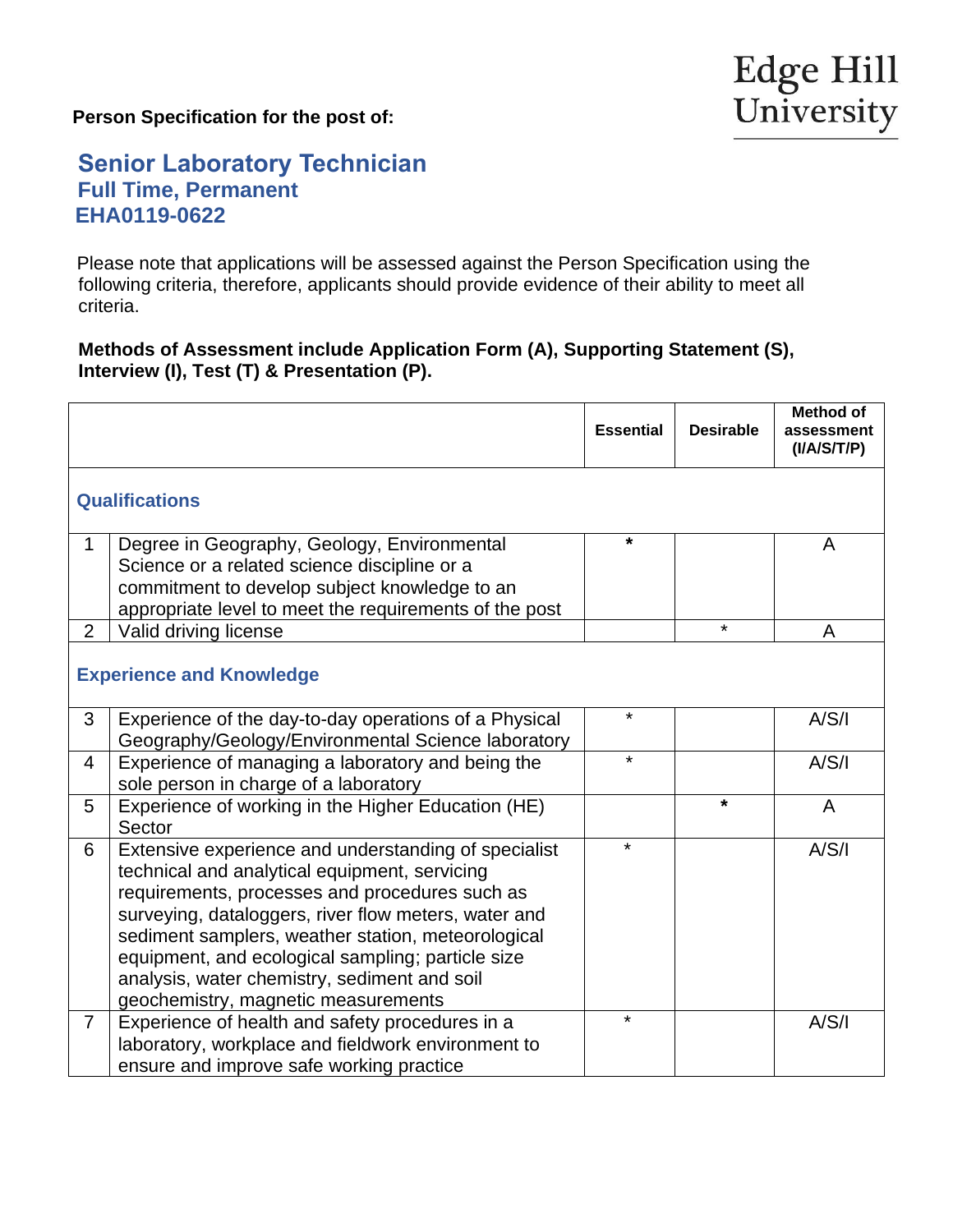**Person Specification for the post of:**

## **Senior Laboratory Technician Full Time, Permanent EHA0119-0622**

 Please note that applications will be assessed against the Person Specification using the following criteria, therefore, applicants should provide evidence of their ability to meet all criteria.

#### **Methods of Assessment include Application Form (A), Supporting Statement (S), Interview (I), Test (T) & Presentation (P).**

|                                 |                                                                                                                                                                                                                                                                                                                                                                                                                   | <b>Essential</b> | <b>Desirable</b> | <b>Method of</b><br>assessment<br>(I/A/S/T/P) |  |
|---------------------------------|-------------------------------------------------------------------------------------------------------------------------------------------------------------------------------------------------------------------------------------------------------------------------------------------------------------------------------------------------------------------------------------------------------------------|------------------|------------------|-----------------------------------------------|--|
| <b>Qualifications</b>           |                                                                                                                                                                                                                                                                                                                                                                                                                   |                  |                  |                                               |  |
| $\mathbf 1$                     | Degree in Geography, Geology, Environmental<br>Science or a related science discipline or a<br>commitment to develop subject knowledge to an<br>appropriate level to meet the requirements of the post                                                                                                                                                                                                            | $\star$          |                  | A                                             |  |
| $\overline{2}$                  | Valid driving license                                                                                                                                                                                                                                                                                                                                                                                             |                  | $\star$          | A                                             |  |
| <b>Experience and Knowledge</b> |                                                                                                                                                                                                                                                                                                                                                                                                                   |                  |                  |                                               |  |
| 3                               | Experience of the day-to-day operations of a Physical<br>Geography/Geology/Environmental Science laboratory                                                                                                                                                                                                                                                                                                       | $\star$          |                  | A/S/I                                         |  |
| 4                               | Experience of managing a laboratory and being the<br>sole person in charge of a laboratory                                                                                                                                                                                                                                                                                                                        | $\star$          |                  | A/S/I                                         |  |
| 5                               | Experience of working in the Higher Education (HE)<br>Sector                                                                                                                                                                                                                                                                                                                                                      |                  | $\star$          | $\mathsf{A}$                                  |  |
| 6                               | Extensive experience and understanding of specialist<br>technical and analytical equipment, servicing<br>requirements, processes and procedures such as<br>surveying, dataloggers, river flow meters, water and<br>sediment samplers, weather station, meteorological<br>equipment, and ecological sampling; particle size<br>analysis, water chemistry, sediment and soil<br>geochemistry, magnetic measurements | *                |                  | A/S/I                                         |  |
| $\overline{7}$                  | Experience of health and safety procedures in a<br>laboratory, workplace and fieldwork environment to<br>ensure and improve safe working practice                                                                                                                                                                                                                                                                 | $\star$          |                  | A/S/I                                         |  |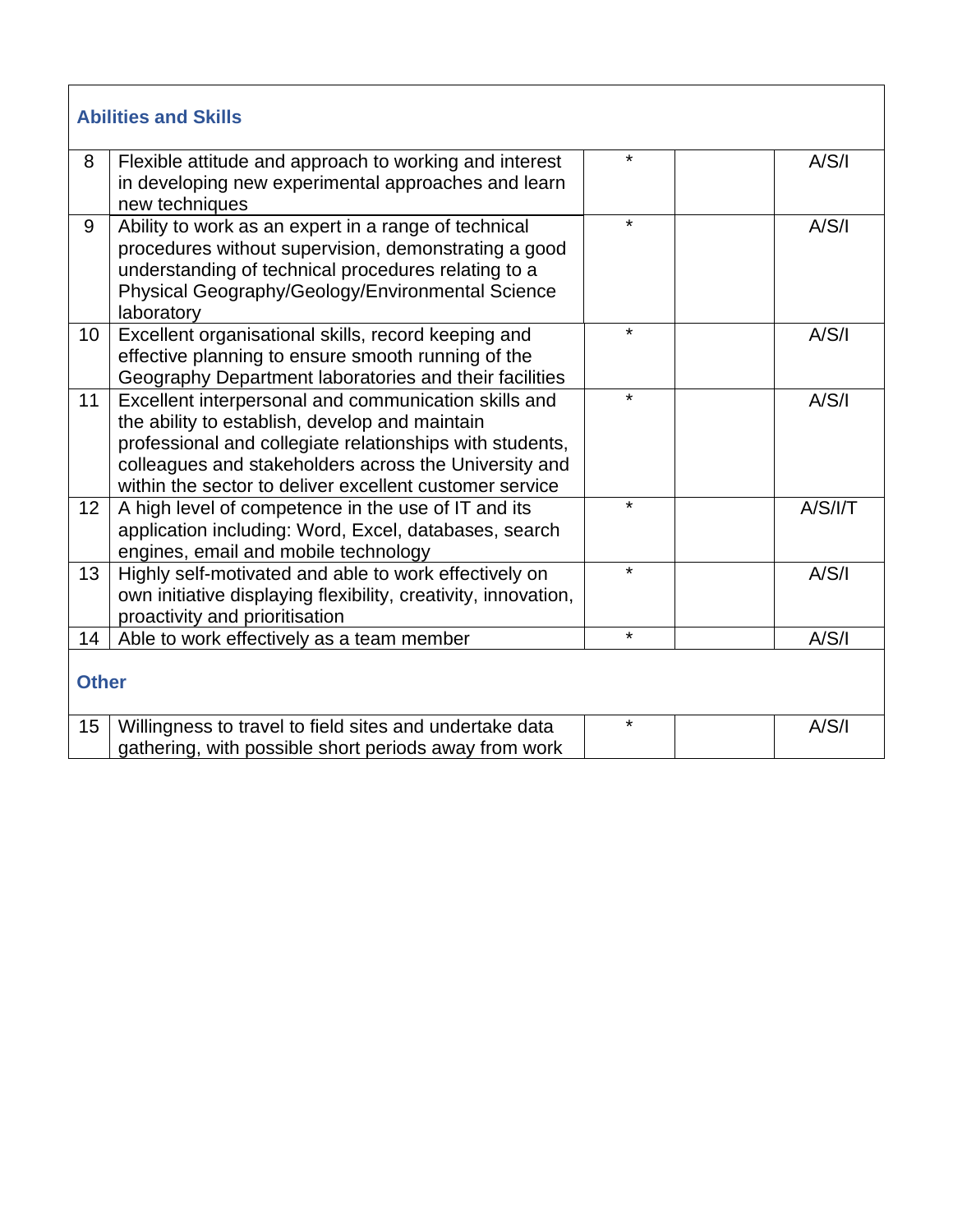| <b>Abilities and Skills</b> |                                                                                                                                                                                                                                                                                        |         |         |  |  |  |
|-----------------------------|----------------------------------------------------------------------------------------------------------------------------------------------------------------------------------------------------------------------------------------------------------------------------------------|---------|---------|--|--|--|
| 8                           | Flexible attitude and approach to working and interest<br>in developing new experimental approaches and learn<br>new techniques                                                                                                                                                        | $\star$ | A/S/I   |  |  |  |
| 9                           | Ability to work as an expert in a range of technical<br>procedures without supervision, demonstrating a good<br>understanding of technical procedures relating to a<br>Physical Geography/Geology/Environmental Science<br>laboratory                                                  | $\star$ | A/S/I   |  |  |  |
| 10                          | Excellent organisational skills, record keeping and<br>effective planning to ensure smooth running of the<br>Geography Department laboratories and their facilities                                                                                                                    | $\star$ | A/S/I   |  |  |  |
| 11                          | Excellent interpersonal and communication skills and<br>the ability to establish, develop and maintain<br>professional and collegiate relationships with students,<br>colleagues and stakeholders across the University and<br>within the sector to deliver excellent customer service | $\star$ | A/S/I   |  |  |  |
| 12                          | A high level of competence in the use of IT and its<br>application including: Word, Excel, databases, search<br>engines, email and mobile technology                                                                                                                                   | $\star$ | A/S/I/T |  |  |  |
| 13                          | Highly self-motivated and able to work effectively on<br>own initiative displaying flexibility, creativity, innovation,<br>proactivity and prioritisation                                                                                                                              | $\star$ | A/S/I   |  |  |  |
| 14                          | Able to work effectively as a team member                                                                                                                                                                                                                                              | $\star$ | A/S/I   |  |  |  |
| <b>Other</b>                |                                                                                                                                                                                                                                                                                        |         |         |  |  |  |
| 15                          | Willingness to travel to field sites and undertake data<br>gathering, with possible short periods away from work                                                                                                                                                                       | $\star$ | A/S/I   |  |  |  |